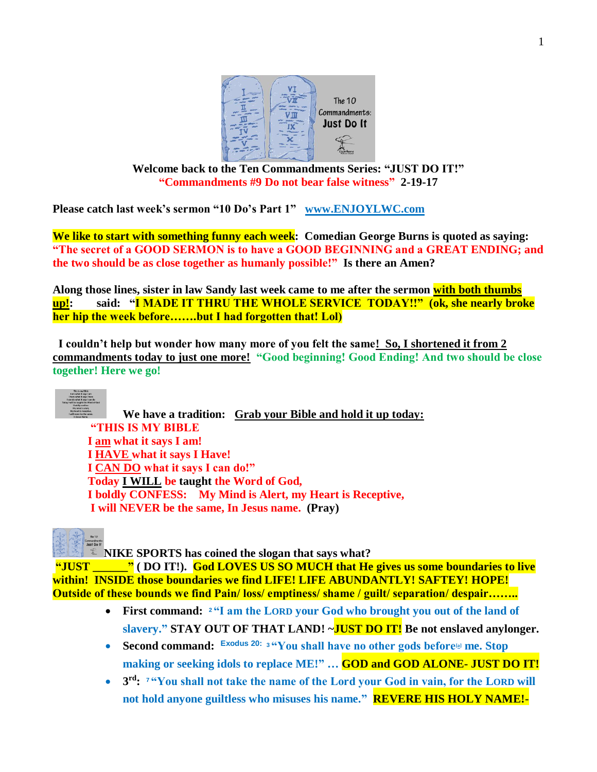

**Welcome back to the Ten Commandments Series: "JUST DO IT!" "Commandments #9 Do not bear false witness" 2-19-17**

**Please catch last week's sermon "10 Do's Part 1" [www.ENJOYLWC.com](http://www.enjoylwc.com/)** 

**We like to start with something funny each week: Comedian George Burns is quoted as saying: "The secret of a GOOD SERMON is to have a GOOD BEGINNING and a GREAT ENDING; and the two should be as close together as humanly possible!" Is there an Amen?**

**Along those lines, sister in law Sandy last week came to me after the sermon with both thumbs up!: said: "I MADE IT THRU THE WHOLE SERVICE TODAY!!" (ok, she nearly broke her hip the week before…….but I had forgotten that! Lol)** 

 **I couldn't help but wonder how many more of you felt the same! So, I shortened it from 2 commandments today to just one more! "Good beginning! Good Ending! And two should be close together! Here we go!** 



**We have a tradition: Grab your Bible and hold it up today: "THIS IS MY BIBLE I am what it says I am! I HAVE what it says I Have! I CAN DO what it says I can do!" Today I WILL be taught the Word of God, I boldly CONFESS: My Mind is Alert, my Heart is Receptive, I will NEVER be the same, In Jesus name. (Pray)**

**NIKE SPORTS has coined the slogan that says what?** 

**"JUST \_\_\_\_\_\_" ( DO IT!). God LOVES US SO MUCH that He gives us some boundaries to live within! INSIDE those boundaries we find LIFE! LIFE ABUNDANTLY! SAFTEY! HOPE! Outside of these bounds we find Pain/ loss/ emptiness/ shame / guilt/ separation/ despair……..**

- **First command: <sup>2</sup> "I am the LORD your God who brought you out of the land of slavery." STAY OUT OF THAT LAND! ~JUST DO IT! Be not enslaved anylonger.**
- **Second command: Exodus 20: <sup>3</sup> "You shall have no other gods before[\[a\]](https://www.biblegateway.com/passage/?search=exodus+20%3A2-5&version=NIV#fen-NIV-2055a) me. Stop making or seeking idols to replace ME!" … GOD and GOD ALONE- JUST DO IT!**
- **3 rd: <sup>7</sup> "You shall not take the name of the Lord your God in vain, for the LORD will not hold anyone guiltless who misuses his name." REVERE HIS HOLY NAME!-**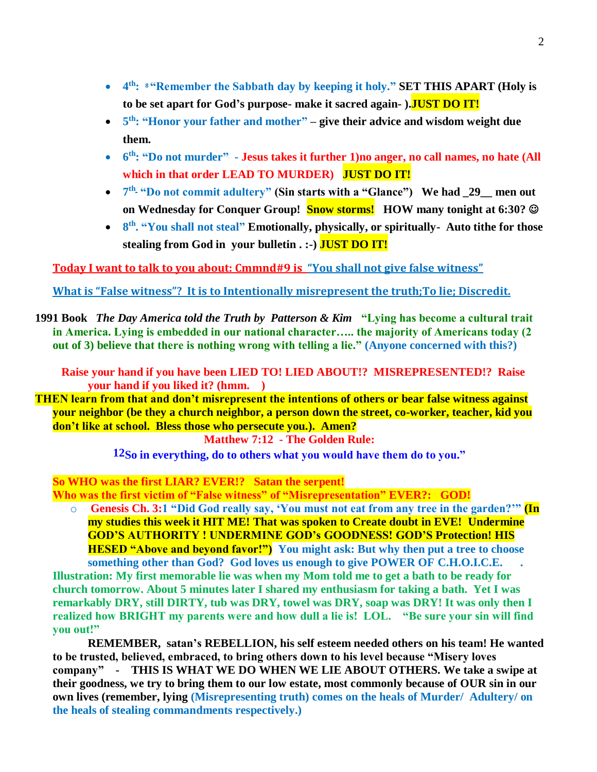- **4 th: <sup>8</sup> "Remember the Sabbath day by keeping it holy." SET THIS APART (Holy is to be set apart for God's purpose- make it sacred again- ).JUST DO IT!**
- **5 th: "Honor your father and mother" – give their advice and wisdom weight due them.**
- **6 th: "Do not murder" - Jesus takes it further 1)no anger, no call names, no hate (All which in that order LEAD TO MURDER) JUST DO IT!**
- $7<sup>th</sup>$  "Do not commit adultery" (Sin starts with a "Glance") We had \_29\_\_ men out **on Wednesday for Conquer Group! Snow storms! HOW many tonight at 6:30?**
- **8<sup>th</sup>. "You shall not steal" Emotionally, physically, or spiritually- Auto tithe for those stealing from God in your bulletin . :-) JUST DO IT!**

**Today I want to talk to you about: Cmmnd#9 is "You shall not give false witness"**

**What is "False witness"? It is to Intentionally misrepresent the truth;To lie; Discredit.**

**1991 Book** *The Day America told the Truth by Patterson & Kim* **"Lying has become a cultural trait in America. Lying is embedded in our national character….. the majority of Americans today (2 out of 3) believe that there is nothing wrong with telling a lie." (Anyone concerned with this?)**

**Raise your hand if you have been LIED TO! LIED ABOUT!? MISREPRESENTED!? Raise your hand if you liked it? (hmm. )** 

**THEN learn from that and don't misrepresent the intentions of others or bear false witness against your neighbor (be they a church neighbor, a person down the street, co-worker, teacher, kid you don't like at school. Bless those who persecute you.). Amen?** 

**Matthew 7:12 - The Golden Rule:**

**12So in everything, do to others what you would have them do to you."**

**So WHO was the first LIAR? EVER!? Satan the serpent!**

**Who was the first victim of "False witness" of "Misrepresentation" EVER?: GOD!**

o **Genesis Ch. 3:1 "Did God really say, 'You must not eat from any tree in the garden?'" (In my studies this week it HIT ME! That was spoken to Create doubt in EVE! Undermine GOD'S AUTHORITY ! UNDERMINE GOD's GOODNESS! GOD'S Protection! HIS HESED "Above and beyond favor!") You might ask: But why then put a tree to choose** 

**something other than God? God loves us enough to give POWER OF C.H.O.I.C.E. . Illustration: My first memorable lie was when my Mom told me to get a bath to be ready for church tomorrow. About 5 minutes later I shared my enthusiasm for taking a bath. Yet I was remarkably DRY, still DIRTY, tub was DRY, towel was DRY, soap was DRY! It was only then I realized how BRIGHT my parents were and how dull a lie is! LOL. "Be sure your sin will find you out!"** 

**REMEMBER, satan's REBELLION, his self esteem needed others on his team! He wanted to be trusted, believed, embraced, to bring others down to his level because "Misery loves company" - THIS IS WHAT WE DO WHEN WE LIE ABOUT OTHERS. We take a swipe at their goodness, we try to bring them to our low estate, most commonly because of OUR sin in our own lives (remember, lying (Misrepresenting truth) comes on the heals of Murder/ Adultery/ on the heals of stealing commandments respectively.)**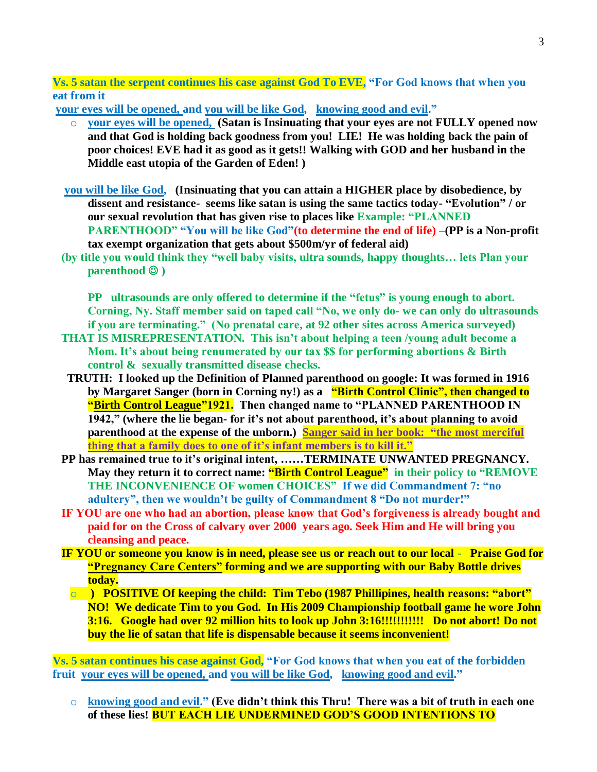**Vs. 5 satan the serpent continues his case against God To EVE, "For God knows that when you eat from it**

**your eyes will be opened, and you will be like God, knowing good and evil."**

- o **your eyes will be opened, (Satan is Insinuating that your eyes are not FULLY opened now and that God is holding back goodness from you! LIE! He was holding back the pain of poor choices! EVE had it as good as it gets!! Walking with GOD and her husband in the Middle east utopia of the Garden of Eden! )**
- **you will be like God, (Insinuating that you can attain a HIGHER place by disobedience, by dissent and resistance- seems like satan is using the same tactics today- "Evolution" / or our sexual revolution that has given rise to places like Example: "PLANNED PARENTHOOD" "You will be like God"(to determine the end of life) –(PP is a Non-profit tax exempt organization that gets about \$500m/yr of federal aid)**
- **(by title you would think they "well baby visits, ultra sounds, happy thoughts… lets Plan your parenthood )**

**PP ultrasounds are only offered to determine if the "fetus" is young enough to abort. Corning, Ny. Staff member said on taped call "No, we only do- we can only do ultrasounds if you are terminating." (No prenatal care, at 92 other sites across America surveyed)** 

- **THAT IS MISREPRESENTATION. This isn't about helping a teen /young adult become a Mom. It's about being renumerated by our tax \$\$ for performing abortions & Birth control & sexually transmitted disease checks.**
- **TRUTH: I looked up the Definition of Planned parenthood on google: It was formed in 1916 by Margaret Sanger (born in Corning ny!) as a "Birth Control Clinic", then changed to "Birth Control League"1921. Then changed name to "PLANNED PARENTHOOD IN 1942," (where the lie began- for it's not about parenthood, it's about planning to avoid parenthood at the expense of the unborn.) Sanger said in her book: "the most merciful thing that a family does to one of it's infant members is to kill it."**
- **PP has remained true to it's original intent, ……TERMINATE UNWANTED PREGNANCY. May they return it to correct name: "Birth Control League" in their policy to "REMOVE THE INCONVENIENCE OF women CHOICES" If we did Commandment 7: "no adultery", then we wouldn't be guilty of Commandment 8 "Do not murder!"**
- **IF YOU are one who had an abortion, please know that God's forgiveness is already bought and paid for on the Cross of calvary over 2000 years ago. Seek Him and He will bring you cleansing and peace.**
- **IF YOU or someone you know is in need, please see us or reach out to our local Praise God for "Pregnancy Care Centers" forming and we are supporting with our Baby Bottle drives today.**
	- o **) POSITIVE Of keeping the child: Tim Tebo (1987 Phillipines, health reasons: "abort" NO! We dedicate Tim to you God. In His 2009 Championship football game he wore John 3:16. Google had over 92 million hits to look up John 3:16!!!!!!!!!!! Do not abort! Do not buy the lie of satan that life is dispensable because it seems inconvenient!**

**Vs. 5 satan continues his case against God, "For God knows that when you eat of the forbidden fruit your eyes will be opened, and you will be like God, knowing good and evil."**

o **knowing good and evil." (Eve didn't think this Thru! There was a bit of truth in each one of these lies! BUT EACH LIE UNDERMINED GOD'S GOOD INTENTIONS TO**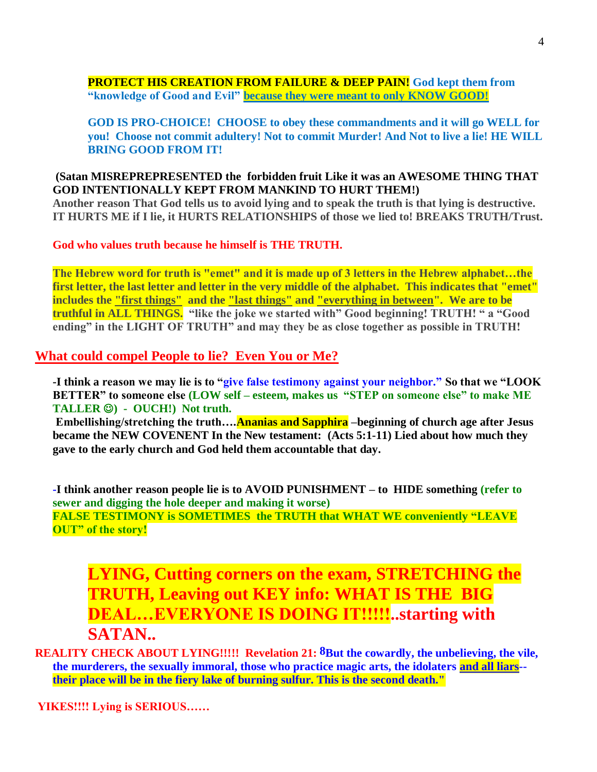#### **PROTECT HIS CREATION FROM FAILURE & DEEP PAIN! God kept them from "knowledge of Good and Evil" because they were meant to only KNOW GOOD!**

#### **GOD IS PRO-CHOICE! CHOOSE to obey these commandments and it will go WELL for you! Choose not commit adultery! Not to commit Murder! And Not to live a lie! HE WILL BRING GOOD FROM IT!**

### **(Satan MISREPREPRESENTED the forbidden fruit Like it was an AWESOME THING THAT GOD INTENTIONALLY KEPT FROM MANKIND TO HURT THEM!)**

**Another reason That God tells us to avoid lying and to speak the truth is that lying is destructive. IT HURTS ME if I lie, it HURTS RELATIONSHIPS of those we lied to! BREAKS TRUTH/Trust.**

**God who values truth because he himself is THE TRUTH.**

**The Hebrew word for truth is "emet" and it is made up of 3 letters in the Hebrew alphabet…the first letter, the last letter and letter in the very middle of the alphabet. This indicates that "emet" includes the "first things" and the "last things" and "everything in between". We are to be truthful in ALL THINGS. "like the joke we started with" Good beginning! TRUTH! " a "Good ending" in the LIGHT OF TRUTH" and may they be as close together as possible in TRUTH!** 

## **What could compel People to lie? Even You or Me?**

**-I think a reason we may lie is to "give false testimony against your neighbor." So that we "LOOK BETTER" to someone else (LOW self – esteem, makes us "STEP on someone else" to make ME TALLER ) - OUCH!) Not truth.** 

**Embellishing/stretching the truth….Ananias and Sapphira –beginning of church age after Jesus became the NEW COVENENT In the New testament: (Acts 5:1-11) Lied about how much they gave to the early church and God held them accountable that day.**

**-I think another reason people lie is to AVOID PUNISHMENT – to HIDE something (refer to sewer and digging the hole deeper and making it worse) FALSE TESTIMONY is SOMETIMES the TRUTH that WHAT WE conveniently "LEAVE OUT" of the story!**

**LYING, Cutting corners on the exam, STRETCHING the TRUTH, Leaving out KEY info: WHAT IS THE BIG DEAL…EVERYONE IS DOING IT!!!!!..starting with SATAN..**

**REALITY CHECK ABOUT LYING!!!!! Revelation 21: 8But the cowardly, the unbelieving, the vile, the murderers, the sexually immoral, those who practice magic arts, the idolaters and all liars- their place will be in the fiery lake of burning sulfur. This is the second death."**

**YIKES!!!! Lying is SERIOUS……**